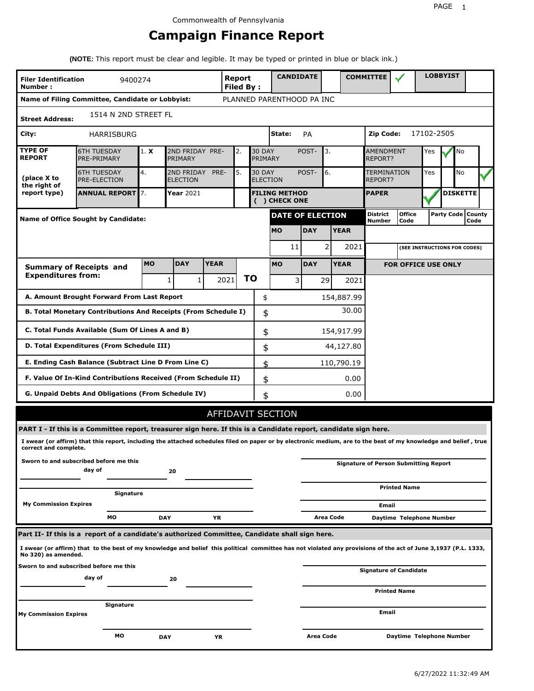# **Campaign Finance Report**

**(NOTE:** This report must be clear and legible. It may be typed or printed in blue or black ink.)

| <b>Filer Identification</b><br>Number: | 9400274                                                                                                                                                         |            |                               |             | <b>Report</b><br><b>Filed By:</b> |    |                                  | <b>CANDIDATE</b>                     |                  |           |             | <b>COMMITTEE</b>                   |                                              |  | <b>LOBBYIST</b> |                             |  |
|----------------------------------------|-----------------------------------------------------------------------------------------------------------------------------------------------------------------|------------|-------------------------------|-------------|-----------------------------------|----|----------------------------------|--------------------------------------|------------------|-----------|-------------|------------------------------------|----------------------------------------------|--|-----------------|-----------------------------|--|
|                                        | Name of Filing Committee, Candidate or Lobbyist:                                                                                                                |            |                               |             |                                   |    |                                  | PLANNED PARENTHOOD PA INC            |                  |           |             |                                    |                                              |  |                 |                             |  |
| <b>Street Address:</b>                 | 1514 N 2ND STREET FL                                                                                                                                            |            |                               |             |                                   |    |                                  |                                      |                  |           |             |                                    |                                              |  |                 |                             |  |
| City:                                  | HARRISBURG                                                                                                                                                      |            |                               |             |                                   |    |                                  | State:                               | <b>PA</b>        |           |             | Zip Code:                          | 17102-2505                                   |  |                 |                             |  |
| <b>TYPE OF</b><br><b>REPORT</b>        | <b>6TH TUESDAY</b><br>PRE-PRIMARY                                                                                                                               | 1. X       | 2ND FRIDAY PRE-<br>PRIMARY    |             | 2.                                |    | <b>30 DAY</b><br>PRIMARY         |                                      | POST-            | 3.        |             | <b>AMENDMENT</b><br><b>REPORT?</b> | Yes                                          |  | No              |                             |  |
| (place X to<br>the right of            | <b>6TH TUESDAY</b><br><b>PRE-ELECTION</b>                                                                                                                       | 4.         | 2ND FRIDAY<br><b>ELECTION</b> | PRE-        | 5.                                |    | <b>30 DAY</b><br><b>ELECTION</b> |                                      | POST-            | 6.        |             | <b>TERMINATION</b><br>REPORT?      | Yes                                          |  | No              |                             |  |
| report type)                           | <b>ANNUAL REPORT</b> 7.                                                                                                                                         |            | Year 2021                     |             |                                   |    |                                  | <b>FILING METHOD</b><br>() CHECK ONE |                  |           |             | <b>PAPER</b>                       |                                              |  |                 | <b>DISKETTE</b>             |  |
|                                        | Name of Office Sought by Candidate:                                                                                                                             |            |                               |             |                                   |    |                                  | <b>DATE OF ELECTION</b>              |                  |           |             | <b>District</b><br><b>Number</b>   | <b>Office</b><br>Code                        |  |                 | Party Code   County<br>Code |  |
|                                        |                                                                                                                                                                 |            |                               |             |                                   |    |                                  | <b>MO</b>                            | <b>DAY</b>       |           | <b>YEAR</b> |                                    |                                              |  |                 |                             |  |
|                                        |                                                                                                                                                                 |            |                               |             |                                   |    |                                  | 11                                   |                  | 2         | 2021        |                                    | (SEE INSTRUCTIONS FOR CODES)                 |  |                 |                             |  |
|                                        | <b>Summary of Receipts and</b>                                                                                                                                  | <b>MO</b>  | <b>DAY</b>                    | <b>YEAR</b> |                                   |    |                                  | <b>MO</b>                            | <b>DAY</b>       |           | <b>YEAR</b> |                                    | <b>FOR OFFICE USE ONLY</b>                   |  |                 |                             |  |
| <b>Expenditures from:</b>              |                                                                                                                                                                 |            | 1<br>1                        |             | 2021                              | ΤO |                                  | $\overline{3}$                       |                  | 29        | 2021        |                                    |                                              |  |                 |                             |  |
|                                        | A. Amount Brought Forward From Last Report                                                                                                                      |            |                               |             |                                   |    | \$                               |                                      |                  |           | 154,887.99  |                                    |                                              |  |                 |                             |  |
|                                        | B. Total Monetary Contributions And Receipts (From Schedule I)                                                                                                  |            |                               |             |                                   |    | \$                               |                                      |                  |           | 30.00       |                                    |                                              |  |                 |                             |  |
|                                        | C. Total Funds Available (Sum Of Lines A and B)                                                                                                                 |            |                               |             |                                   |    | \$                               |                                      |                  |           | 154,917.99  |                                    |                                              |  |                 |                             |  |
|                                        | D. Total Expenditures (From Schedule III)                                                                                                                       |            |                               |             |                                   |    | \$                               |                                      |                  |           | 44,127.80   |                                    |                                              |  |                 |                             |  |
|                                        | E. Ending Cash Balance (Subtract Line D From Line C)                                                                                                            |            |                               |             |                                   |    | \$                               |                                      |                  |           | 110,790.19  |                                    |                                              |  |                 |                             |  |
|                                        | F. Value Of In-Kind Contributions Received (From Schedule II)                                                                                                   |            |                               |             |                                   |    | \$                               |                                      |                  |           | 0.00        |                                    |                                              |  |                 |                             |  |
|                                        | <b>G. Unpaid Debts And Obligations (From Schedule IV)</b>                                                                                                       |            |                               |             |                                   |    | \$                               |                                      |                  |           | 0.00        |                                    |                                              |  |                 |                             |  |
|                                        |                                                                                                                                                                 |            |                               |             | AFFIDAVIT SECTION                 |    |                                  |                                      |                  |           |             |                                    |                                              |  |                 |                             |  |
|                                        | PART I - If this is a Committee report, treasurer sign here. If this is a Candidate report, candidate sign here.                                                |            |                               |             |                                   |    |                                  |                                      |                  |           |             |                                    |                                              |  |                 |                             |  |
| correct and complete.                  | I swear (or affirm) that this report, including the attached schedules filed on paper or by electronic medium, are to the best of my knowledge and belief, true |            |                               |             |                                   |    |                                  |                                      |                  |           |             |                                    |                                              |  |                 |                             |  |
|                                        | Sworn to and subscribed before me this<br>day of                                                                                                                |            | 20                            |             |                                   |    |                                  |                                      |                  |           |             |                                    | <b>Signature of Person Submitting Report</b> |  |                 |                             |  |
|                                        | Signature                                                                                                                                                       |            |                               |             |                                   |    |                                  |                                      |                  |           |             |                                    | <b>Printed Name</b>                          |  |                 |                             |  |
| <b>My Commission Expires</b>           |                                                                                                                                                                 |            |                               |             |                                   |    |                                  |                                      |                  |           |             | Email                              |                                              |  |                 |                             |  |
|                                        | МO                                                                                                                                                              | <b>DAY</b> |                               | YR          |                                   |    |                                  |                                      |                  | Area Code |             |                                    | Daytime Telephone Number                     |  |                 |                             |  |
|                                        | Part II- If this is a report of a candidate's authorized Committee, Candidate shall sign here.                                                                  |            |                               |             |                                   |    |                                  |                                      |                  |           |             |                                    |                                              |  |                 |                             |  |
| No 320) as amended.                    | I swear (or affirm) that to the best of my knowledge and belief this political committee has not violated any provisions of the act of June 3,1937 (P.L. 1333,  |            |                               |             |                                   |    |                                  |                                      |                  |           |             |                                    |                                              |  |                 |                             |  |
|                                        | Sworn to and subscribed before me this<br>day of                                                                                                                |            | 20                            |             |                                   |    |                                  |                                      |                  |           |             |                                    | <b>Signature of Candidate</b>                |  |                 |                             |  |
|                                        |                                                                                                                                                                 |            |                               |             |                                   |    |                                  |                                      |                  |           |             |                                    | <b>Printed Name</b>                          |  |                 |                             |  |
| My Commission Expires                  | Signature                                                                                                                                                       |            |                               |             |                                   |    |                                  |                                      |                  |           |             | Email                              |                                              |  |                 |                             |  |
|                                        | МO                                                                                                                                                              | <b>DAY</b> |                               | YR          |                                   |    |                                  |                                      | <b>Area Code</b> |           |             |                                    | Daytime Telephone Number                     |  |                 |                             |  |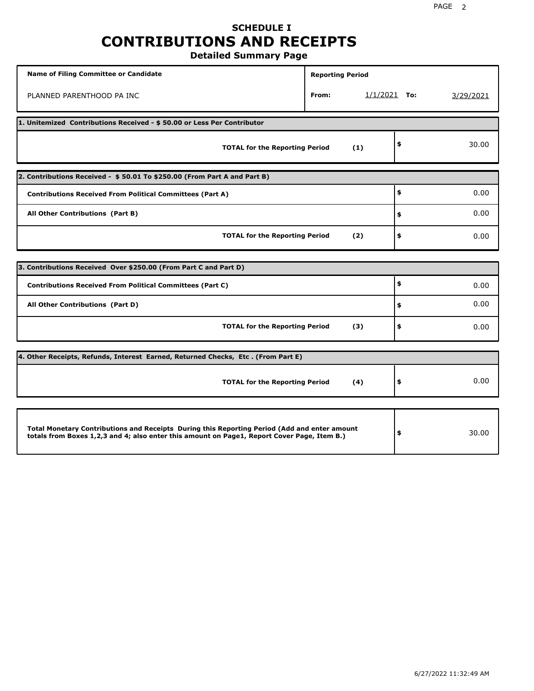## **SCHEDULE I CONTRIBUTIONS AND RECEIPTS Detailed Summary Page**

**Name of Filing Committee or Candidate Reporting Period Reporting Period** PLANNED PARENTHOOD PA INC **From:** 1/1/2021 **To:** 3/29/2021 **1. Unitemized Contributions Received - \$ 50.00 or Less Per Contributor TOTAL for the Reporting Period (1) \$** 30.00 **2. Contributions Received - \$ 50.01 To \$250.00 (From Part A and Part B) TOTAL for the Reporting Period (2) Contributions Received From Political Committees (Part A) All Other Contributions (Part B) \$ \$ \$** 0.00 0.00 0.00 **3. Contributions Received Over \$250.00 (From Part C and Part D) TOTAL for the Reporting Period (3) Contributions Received From Political Committees (Part C) All Other Contributions (Part D) \$ \$ \$** 0.00 0.00 0.00 **4. Other Receipts, Refunds, Interest Earned, Returned Checks, Etc . (From Part E) TOTAL for the Reporting Period (4) \$** 0.00 **Total Monetary Contributions and Receipts During this Reporting Period (Add and enter amount totals from Boxes 1,2,3 and 4; also enter this amount on Page1, Report Cover Page, Item B.) \$** 30.00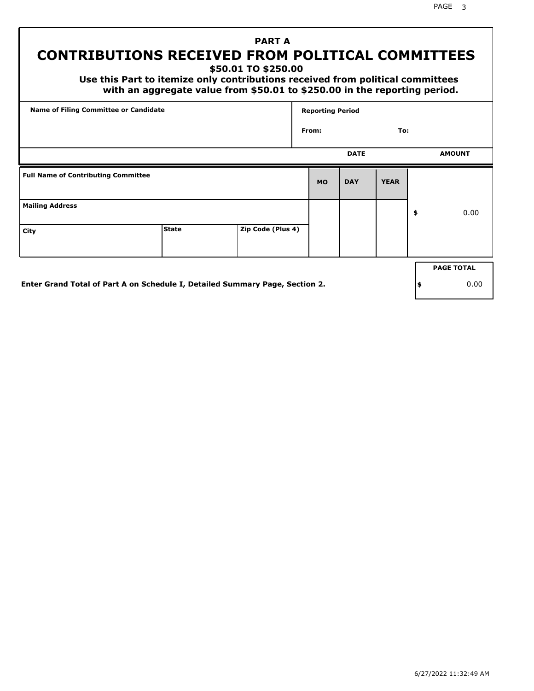PAGE 3

# **PART A CONTRIBUTIONS RECEIVED FROM POLITICAL COMMITTEES**

**\$50.01 TO \$250.00**

 **Use this Part to itemize only contributions received from political committees with an aggregate value from \$50.01 to \$250.00 in the reporting period.**

|                                            | Name of Filing Committee or Candidate |                   |           | <b>Reporting Period</b> |             |                   |
|--------------------------------------------|---------------------------------------|-------------------|-----------|-------------------------|-------------|-------------------|
|                                            |                                       |                   | From:     |                         | To:         |                   |
|                                            |                                       |                   |           | <b>DATE</b>             |             | <b>AMOUNT</b>     |
| <b>Full Name of Contributing Committee</b> |                                       |                   | <b>MO</b> | <b>DAY</b>              | <b>YEAR</b> |                   |
| <b>Mailing Address</b>                     |                                       |                   |           |                         |             | \$<br>0.00        |
| City                                       | <b>State</b>                          | Zip Code (Plus 4) |           |                         |             |                   |
|                                            |                                       |                   |           |                         |             | <b>PAGE TOTAL</b> |
|                                            |                                       |                   |           |                         |             |                   |

**Enter Grand Total of Part A on Schedule I, Detailed Summary Page, Section 2.**

**\$** 0.00

6/27/2022 11:32:49 AM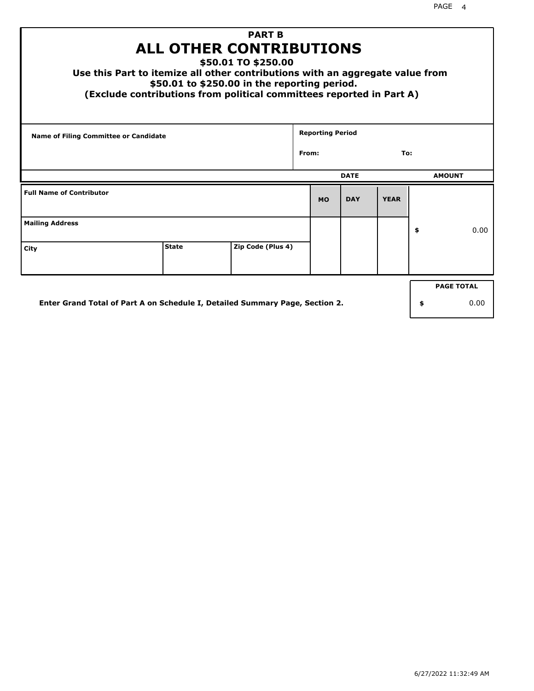| <b>PART B</b><br><b>ALL OTHER CONTRIBUTIONS</b><br>\$50.01 TO \$250.00<br>Use this Part to itemize all other contributions with an aggregate value from<br>\$50.01 to \$250.00 in the reporting period.<br>(Exclude contributions from political committees reported in Part A) |              |                   |  |                         |             |             |    |               |  |
|---------------------------------------------------------------------------------------------------------------------------------------------------------------------------------------------------------------------------------------------------------------------------------|--------------|-------------------|--|-------------------------|-------------|-------------|----|---------------|--|
| Name of Filing Committee or Candidate                                                                                                                                                                                                                                           |              |                   |  | <b>Reporting Period</b> |             |             |    |               |  |
|                                                                                                                                                                                                                                                                                 | From:<br>To: |                   |  |                         |             |             |    |               |  |
|                                                                                                                                                                                                                                                                                 |              |                   |  |                         | <b>DATE</b> |             |    | <b>AMOUNT</b> |  |
| <b>Full Name of Contributor</b>                                                                                                                                                                                                                                                 |              |                   |  | <b>MO</b>               | <b>DAY</b>  | <b>YEAR</b> |    |               |  |
| <b>Mailing Address</b>                                                                                                                                                                                                                                                          |              |                   |  |                         |             |             | \$ | 0.00          |  |
| City                                                                                                                                                                                                                                                                            | <b>State</b> | Zip Code (Plus 4) |  |                         |             |             |    |               |  |
| <b>PAGE TOTAL</b>                                                                                                                                                                                                                                                               |              |                   |  |                         |             |             |    |               |  |
| Enter Grand Total of Part A on Schedule I, Detailed Summary Page, Section 2.<br>0.00<br>\$                                                                                                                                                                                      |              |                   |  |                         |             |             |    |               |  |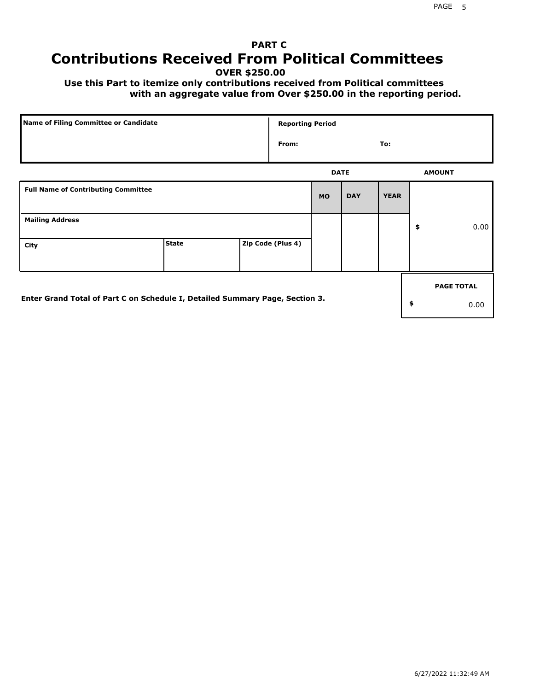# **PART C Contributions Received From Political Committees**

**OVER \$250.00**

 **Use this Part to itemize only contributions received from Political committees with an aggregate value from Over \$250.00 in the reporting period.**

| Name of Filing Committee or Candidate                                        |              | <b>Reporting Period</b> |             |            |             |    |                   |
|------------------------------------------------------------------------------|--------------|-------------------------|-------------|------------|-------------|----|-------------------|
|                                                                              |              | From:                   |             |            | To:         |    |                   |
|                                                                              |              |                         | <b>DATE</b> |            |             |    | <b>AMOUNT</b>     |
| <b>Full Name of Contributing Committee</b>                                   |              |                         | <b>MO</b>   | <b>DAY</b> | <b>YEAR</b> |    |                   |
| <b>Mailing Address</b>                                                       |              |                         |             |            |             | \$ | 0.00              |
| City                                                                         | <b>State</b> | Zip Code (Plus 4)       |             |            |             |    |                   |
|                                                                              |              |                         |             |            |             |    | <b>PAGE TOTAL</b> |
| Enter Grand Total of Part C on Schedule I, Detailed Summary Page, Section 3. |              |                         |             |            |             | \$ | 0.00              |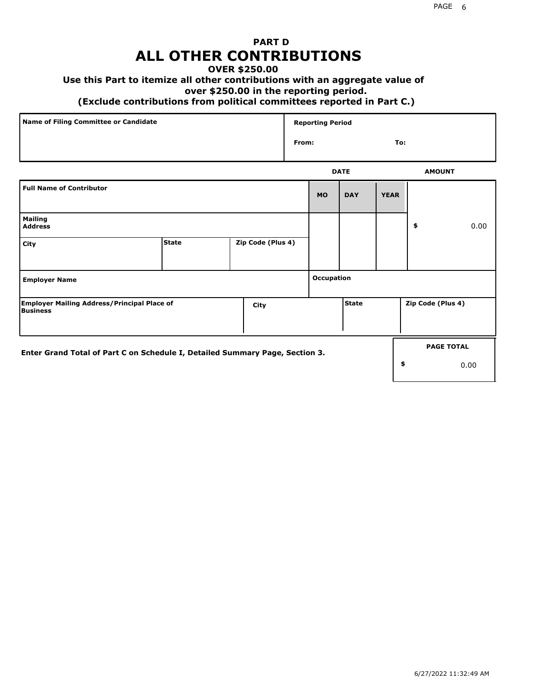## **PART D ALL OTHER CONTRIBUTIONS**

## **OVER \$250.00**

### **Use this Part to itemize all other contributions with an aggregate value of**

#### **over \$250.00 in the reporting period.**

#### **(Exclude contributions from political committees reported in Part C.)**

| Name of Filing Committee or Candidate | <b>Reporting Period</b> |     |
|---------------------------------------|-------------------------|-----|
|                                       | From:                   | To: |
|                                       |                         |     |

|                                                                              |              |                   |            | <b>DATE</b> |             | <b>AMOUNT</b>     |                   |
|------------------------------------------------------------------------------|--------------|-------------------|------------|-------------|-------------|-------------------|-------------------|
| <b>Full Name of Contributor</b>                                              |              |                   | <b>MO</b>  | <b>DAY</b>  | <b>YEAR</b> |                   |                   |
| <b>Mailing</b><br><b>Address</b>                                             |              |                   |            |             |             | \$                | 0.00              |
| City                                                                         | <b>State</b> | Zip Code (Plus 4) |            |             |             |                   |                   |
| <b>Employer Name</b>                                                         |              |                   | Occupation |             |             |                   |                   |
| <b>Employer Mailing Address/Principal Place of</b><br><b>Business</b>        |              | City              |            | State       |             | Zip Code (Plus 4) |                   |
| Enter Grand Total of Part C on Schedule I, Detailed Summary Page, Section 3. |              |                   |            |             |             |                   | <b>PAGE TOTAL</b> |
|                                                                              |              |                   |            |             | \$          |                   | 0.00              |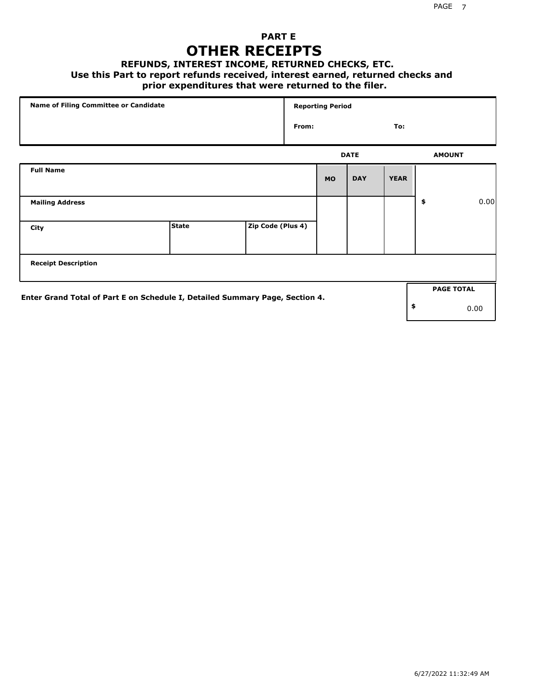## **PART E OTHER RECEIPTS**

#### **REFUNDS, INTEREST INCOME, RETURNED CHECKS, ETC.**

 **Use this Part to report refunds received, interest earned, returned checks and**

## **prior expenditures that were returned to the filer.**

| Name of Filing Committee or Candidate                                        |              |                   |       | <b>Reporting Period</b> |             |             |                   |      |
|------------------------------------------------------------------------------|--------------|-------------------|-------|-------------------------|-------------|-------------|-------------------|------|
|                                                                              |              |                   | From: |                         |             | To:         |                   |      |
|                                                                              |              |                   |       |                         | <b>DATE</b> |             | <b>AMOUNT</b>     |      |
| <b>Full Name</b>                                                             |              |                   |       | <b>MO</b>               | <b>DAY</b>  | <b>YEAR</b> |                   |      |
| <b>Mailing Address</b>                                                       |              |                   |       |                         |             |             | \$                | 0.00 |
| City                                                                         | <b>State</b> | Zip Code (Plus 4) |       |                         |             |             |                   |      |
| <b>Receipt Description</b>                                                   |              |                   |       |                         |             |             |                   |      |
|                                                                              |              |                   |       |                         |             |             | <b>PAGE TOTAL</b> |      |
| Enter Grand Total of Part E on Schedule I, Detailed Summary Page, Section 4. |              |                   |       |                         |             |             | \$                | 0.00 |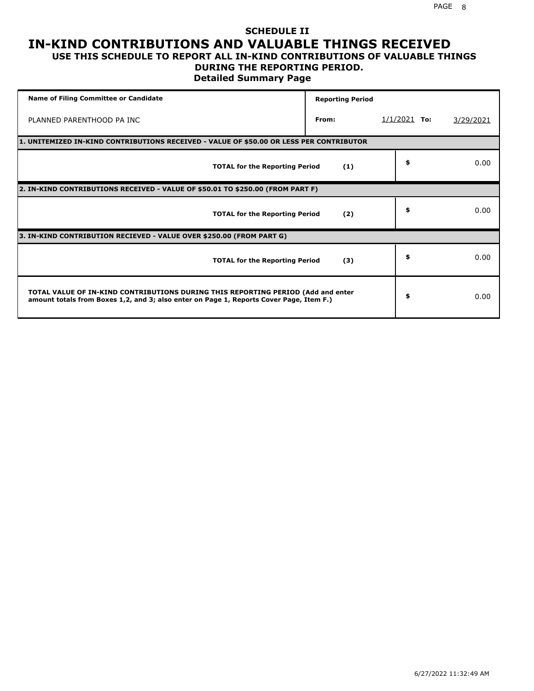### **SCHEDULE II IN-KIND CONTRIBUTIONS AND VALUABLE THINGS RECEIVED USE THIS SCHEDULE TO REPORT ALL IN-KIND CONTRIBUTIONS OF VALUABLE THINGS**

## **DURING THE REPORTING PERIOD.**

**Detailed Summary Page**

| <b>Name of Filing Committee or Candidate</b>                                                                                                                                | <b>Reporting Period</b> |                |           |
|-----------------------------------------------------------------------------------------------------------------------------------------------------------------------------|-------------------------|----------------|-----------|
| PLANNED PARENTHOOD PA INC                                                                                                                                                   | From:                   | $1/1/2021$ To: | 3/29/2021 |
| 1. UNITEMIZED IN-KIND CONTRIBUTIONS RECEIVED - VALUE OF \$50.00 OR LESS PER CONTRIBUTOR                                                                                     |                         |                |           |
| <b>TOTAL for the Reporting Period</b>                                                                                                                                       | (1)                     | \$             | 0.00      |
| 2. IN-KIND CONTRIBUTIONS RECEIVED - VALUE OF \$50.01 TO \$250.00 (FROM PART F)                                                                                              |                         |                |           |
| <b>TOTAL for the Reporting Period</b>                                                                                                                                       | (2)                     | \$             | 0.00      |
| 3. IN-KIND CONTRIBUTION RECIEVED - VALUE OVER \$250.00 (FROM PART G)                                                                                                        |                         |                |           |
| <b>TOTAL for the Reporting Period</b>                                                                                                                                       | (3)                     | \$             | 0.00      |
| TOTAL VALUE OF IN-KIND CONTRIBUTIONS DURING THIS REPORTING PERIOD (Add and enter<br>amount totals from Boxes 1,2, and 3; also enter on Page 1, Reports Cover Page, Item F.) |                         | \$             | 0.00      |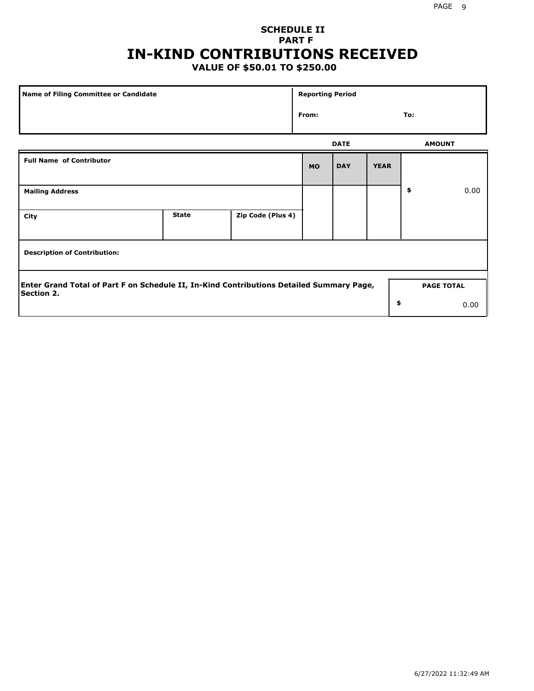## **SCHEDULE II PART F IN-KIND CONTRIBUTIONS RECEIVED**

## **VALUE OF \$50.01 TO \$250.00**

| Name of Filing Committee or Candidate                                                                         |              |                   | <b>Reporting Period</b> |             |             |                   |      |
|---------------------------------------------------------------------------------------------------------------|--------------|-------------------|-------------------------|-------------|-------------|-------------------|------|
|                                                                                                               | From:        |                   |                         |             |             | To:               |      |
|                                                                                                               |              |                   |                         | <b>DATE</b> |             | <b>AMOUNT</b>     |      |
| <b>Full Name of Contributor</b>                                                                               |              |                   | <b>MO</b>               | <b>DAY</b>  | <b>YEAR</b> |                   |      |
| <b>Mailing Address</b>                                                                                        |              |                   |                         |             |             | \$                | 0.00 |
| City                                                                                                          | <b>State</b> | Zip Code (Plus 4) |                         |             |             |                   |      |
| <b>Description of Contribution:</b>                                                                           |              |                   |                         |             |             |                   |      |
| Enter Grand Total of Part F on Schedule II, In-Kind Contributions Detailed Summary Page,<br><b>Section 2.</b> |              |                   |                         |             |             | <b>PAGE TOTAL</b> |      |
|                                                                                                               |              |                   |                         |             | \$          |                   | 0.00 |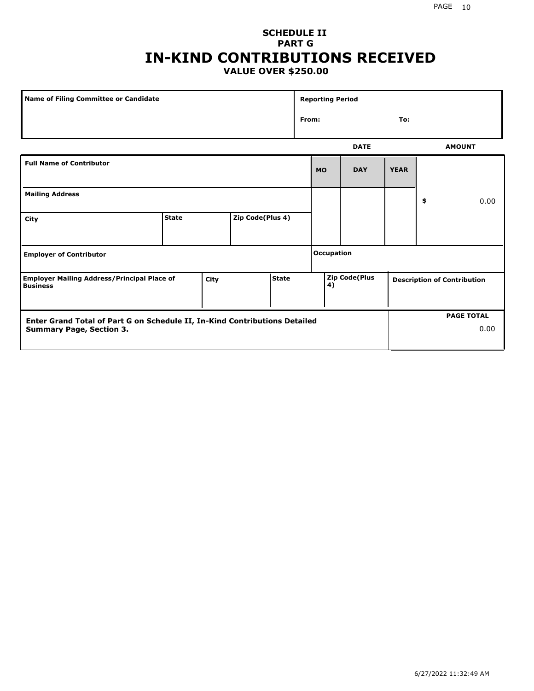## **SCHEDULE II PART G IN-KIND CONTRIBUTIONS RECEIVED VALUE OVER \$250.00**

| Name of Filing Committee or Candidate                                 |              |      |                  |              |                   | <b>Reporting Period</b> |               |  |    |                                    |
|-----------------------------------------------------------------------|--------------|------|------------------|--------------|-------------------|-------------------------|---------------|--|----|------------------------------------|
|                                                                       |              |      |                  |              |                   | From:<br>To:            |               |  |    |                                    |
|                                                                       |              |      |                  |              | <b>DATE</b>       |                         |               |  |    | <b>AMOUNT</b>                      |
| <b>Full Name of Contributor</b>                                       |              |      |                  |              | <b>MO</b>         | <b>DAY</b>              | <b>YEAR</b>   |  |    |                                    |
| <b>Mailing Address</b>                                                |              |      |                  |              |                   |                         |               |  | \$ | 0.00                               |
| City                                                                  | <b>State</b> |      | Zip Code(Plus 4) |              |                   |                         |               |  |    |                                    |
| <b>Employer of Contributor</b>                                        |              |      |                  |              | <b>Occupation</b> |                         |               |  |    |                                    |
| <b>Employer Mailing Address/Principal Place of</b><br><b>Business</b> |              | City |                  | <b>State</b> |                   | 4)                      | Zip Code(Plus |  |    | <b>Description of Contribution</b> |

| Enter Grand Total of Part G on Schedule II, In-Kind Contributions Detailed |  | <b>PAGE TOTAL</b> |
|----------------------------------------------------------------------------|--|-------------------|
| <b>Summary Page, Section 3.</b>                                            |  | 0.00              |
|                                                                            |  |                   |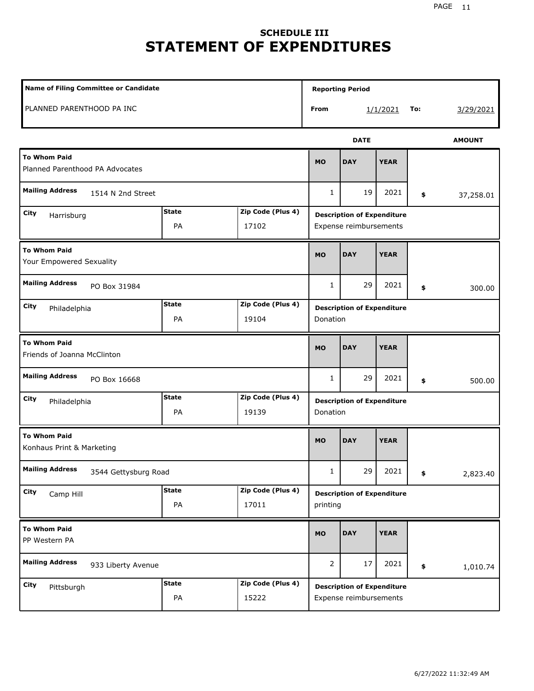# **SCHEDULE III STATEMENT OF EXPENDITURES**

| Name of Filing Committee or Candidate                                    |                    |                            |                | <b>Reporting Period</b>                                     |             |     |               |  |  |
|--------------------------------------------------------------------------|--------------------|----------------------------|----------------|-------------------------------------------------------------|-------------|-----|---------------|--|--|
| PLANNED PARENTHOOD PA INC                                                |                    |                            | From           |                                                             | 1/1/2021    | To: | 3/29/2021     |  |  |
|                                                                          |                    |                            |                | <b>DATE</b>                                                 |             |     | <b>AMOUNT</b> |  |  |
| <b>To Whom Paid</b><br>Planned Parenthood PA Advocates                   |                    |                            | <b>MO</b>      | <b>DAY</b>                                                  | <b>YEAR</b> |     |               |  |  |
| <b>Mailing Address</b><br>1514 N 2nd Street                              |                    |                            | $\mathbf{1}$   | 19                                                          | 2021        | \$  | 37,258.01     |  |  |
| City<br>Harrisburg                                                       | <b>State</b><br>PA | Zip Code (Plus 4)<br>17102 |                | <b>Description of Expenditure</b><br>Expense reimbursements |             |     |               |  |  |
| <b>To Whom Paid</b><br>Your Empowered Sexuality                          |                    |                            | <b>MO</b>      | <b>DAY</b>                                                  | <b>YEAR</b> |     |               |  |  |
| <b>Mailing Address</b><br>PO Box 31984                                   |                    |                            | $\mathbf{1}$   | 29                                                          | 2021        | \$  | 300.00        |  |  |
| <b>State</b><br>Zip Code (Plus 4)<br>City<br>Philadelphia<br>PA<br>19104 |                    |                            |                | <b>Description of Expenditure</b><br>Donation               |             |     |               |  |  |
| <b>To Whom Paid</b><br>Friends of Joanna McClinton                       |                    |                            | <b>MO</b>      | <b>DAY</b>                                                  | <b>YEAR</b> |     |               |  |  |
| <b>Mailing Address</b><br>PO Box 16668                                   |                    |                            | $\mathbf{1}$   | 29                                                          | 2021        | \$  | 500.00        |  |  |
| City<br>Philadelphia                                                     | <b>State</b><br>PA | Zip Code (Plus 4)<br>19139 | Donation       | <b>Description of Expenditure</b>                           |             |     |               |  |  |
| <b>To Whom Paid</b><br>Konhaus Print & Marketing                         |                    |                            | <b>MO</b>      | <b>DAY</b>                                                  | <b>YEAR</b> |     |               |  |  |
| <b>Mailing Address</b><br>3544 Gettysburg Road                           |                    |                            | 1              | 29                                                          | 2021        | \$  | 2,823.40      |  |  |
| City<br>Camp Hill                                                        | <b>State</b><br>PA | Zip Code (Plus 4)<br>17011 | printing       | <b>Description of Expenditure</b>                           |             |     |               |  |  |
| <b>To Whom Paid</b><br>PP Western PA                                     |                    |                            | <b>MO</b>      | <b>DAY</b>                                                  | <b>YEAR</b> |     |               |  |  |
| <b>Mailing Address</b><br>933 Liberty Avenue                             |                    |                            | $\overline{2}$ | 17                                                          | 2021        | \$  | 1,010.74      |  |  |
| <b>City</b><br>Pittsburgh                                                | <b>State</b><br>PA | Zip Code (Plus 4)<br>15222 |                | <b>Description of Expenditure</b><br>Expense reimbursements |             |     |               |  |  |